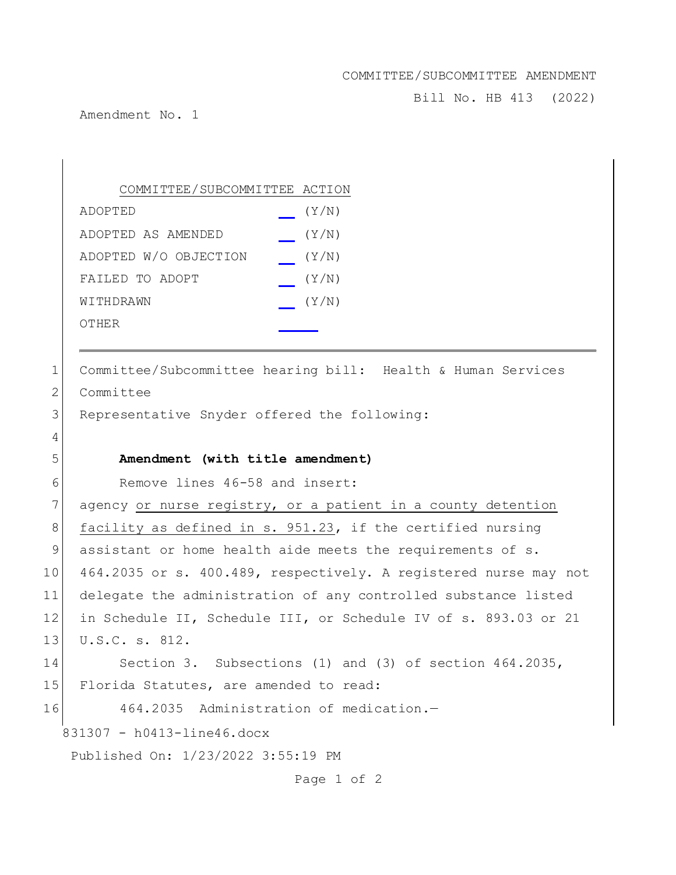## COMMITTEE/SUBCOMMITTEE AMENDMENT

Bill No. HB 413 (2022)

Amendment No. 1

| COMMITTEE/SUBCOMMITTEE ACTION |       |
|-------------------------------|-------|
| ADOPTED                       | (Y/N) |
| ADOPTED AS AMENDED            | (Y/N) |
| ADOPTED W/O OBJECTION         | (Y/N) |
| FAILED TO ADOPT               | (Y/N) |
| WITHDRAWN                     | (Y/N) |
| OTHER                         |       |

1 Committee/Subcommittee hearing bill: Health & Human Services 2 Committee 3 Representative Snyder offered the following: 4 5 **Amendment (with title amendment)** 6 Remove lines 46-58 and insert: 7 agency or nurse registry, or a patient in a county detention

8 facility as defined in s. 951.23, if the certified nursing 9 assistant or home health aide meets the requirements of s. 10 464.2035 or s. 400.489, respectively. A registered nurse may not 11 delegate the administration of any controlled substance listed 12 in Schedule II, Schedule III, or Schedule IV of s. 893.03 or 21 13 U.S.C. s. 812.

14 Section 3. Subsections (1) and (3) of section 464.2035, 15 Florida Statutes, are amended to read:

16 464.2035 Administration of medication.-

831307 - h0413-line46.docx

Published On: 1/23/2022 3:55:19 PM

Page 1 of 2